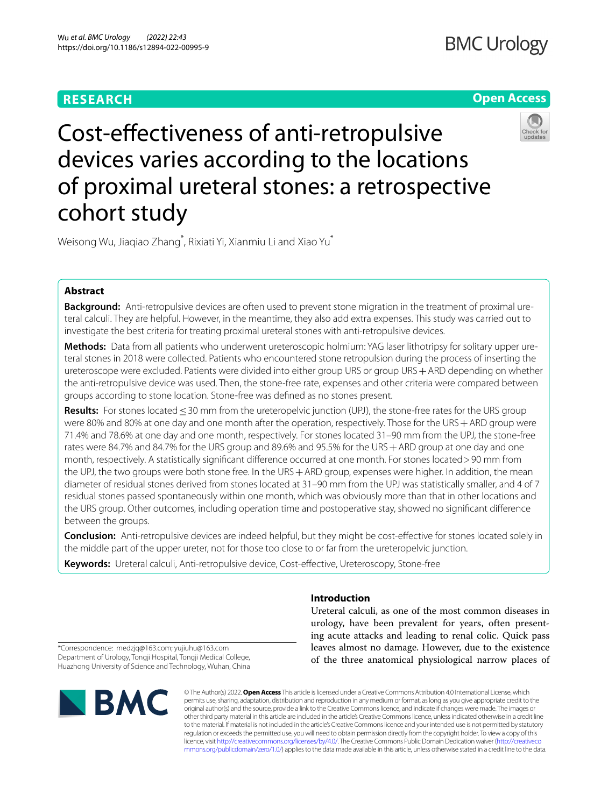# **RESEARCH**

# **Open Access**



Cost-efectiveness of anti-retropulsive devices varies according to the locations of proximal ureteral stones: a retrospective cohort study

Weisong Wu, Jiaqiao Zhang\* , Rixiati Yi, Xianmiu Li and Xiao Yu\*

## **Abstract**

**Background:** Anti-retropulsive devices are often used to prevent stone migration in the treatment of proximal ureteral calculi. They are helpful. However, in the meantime, they also add extra expenses. This study was carried out to investigate the best criteria for treating proximal ureteral stones with anti-retropulsive devices.

**Methods:** Data from all patients who underwent ureteroscopic holmium: YAG laser lithotripsy for solitary upper ureteral stones in 2018 were collected. Patients who encountered stone retropulsion during the process of inserting the ureteroscope were excluded. Patients were divided into either group URS or group URS + ARD depending on whether the anti-retropulsive device was used. Then, the stone-free rate, expenses and other criteria were compared between groups according to stone location. Stone-free was defned as no stones present.

**Results:** For stones located≤30 mm from the ureteropelvic junction (UPJ), the stone-free rates for the URS group were 80% and 80% at one day and one month after the operation, respectively. Those for the URS+ARD group were 71.4% and 78.6% at one day and one month, respectively. For stones located 31–90 mm from the UPJ, the stone-free rates were 84.7% and 84.7% for the URS group and 89.6% and 95.5% for the URS + ARD group at one day and one month, respectively. A statistically signifcant diference occurred at one month. For stones located>90 mm from the UPJ, the two groups were both stone free. In the URS + ARD group, expenses were higher. In addition, the mean diameter of residual stones derived from stones located at 31–90 mm from the UPJ was statistically smaller, and 4 of 7 residual stones passed spontaneously within one month, which was obviously more than that in other locations and the URS group. Other outcomes, including operation time and postoperative stay, showed no signifcant diference between the groups.

**Conclusion:** Anti-retropulsive devices are indeed helpful, but they might be cost-efective for stones located solely in the middle part of the upper ureter, not for those too close to or far from the ureteropelvic junction.

**Keywords:** Ureteral calculi, Anti-retropulsive device, Cost-efective, Ureteroscopy, Stone-free

## **Introduction**

Ureteral calculi, as one of the most common diseases in urology, have been prevalent for years, often presenting acute attacks and leading to renal colic. Quick pass leaves almost no damage. However, due to the existence of the three anatomical physiological narrow places of

\*Correspondence: medzjq@163.com; yujiuhu@163.com Department of Urology, Tongji Hospital, Tongji Medical College, Huazhong University of Science and Technology, Wuhan, China



© The Author(s) 2022. **Open Access** This article is licensed under a Creative Commons Attribution 4.0 International License, which permits use, sharing, adaptation, distribution and reproduction in any medium or format, as long as you give appropriate credit to the original author(s) and the source, provide a link to the Creative Commons licence, and indicate if changes were made. The images or other third party material in this article are included in the article's Creative Commons licence, unless indicated otherwise in a credit line to the material. If material is not included in the article's Creative Commons licence and your intended use is not permitted by statutory regulation or exceeds the permitted use, you will need to obtain permission directly from the copyright holder. To view a copy of this licence, visit [http://creativecommons.org/licenses/by/4.0/.](http://creativecommons.org/licenses/by/4.0/) The Creative Commons Public Domain Dedication waiver ([http://creativeco](http://creativecommons.org/publicdomain/zero/1.0/) [mmons.org/publicdomain/zero/1.0/](http://creativecommons.org/publicdomain/zero/1.0/)) applies to the data made available in this article, unless otherwise stated in a credit line to the data.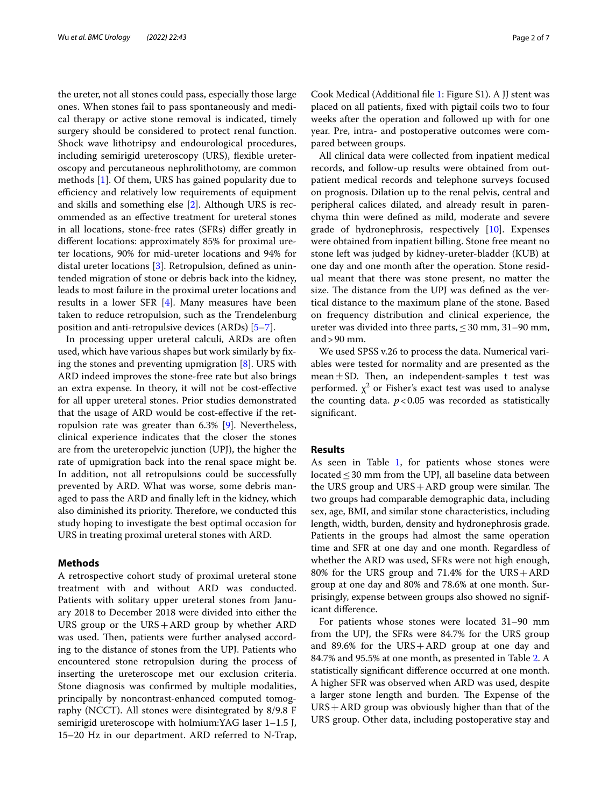the ureter, not all stones could pass, especially those large ones. When stones fail to pass spontaneously and medical therapy or active stone removal is indicated, timely surgery should be considered to protect renal function. Shock wave lithotripsy and endourological procedures, including semirigid ureteroscopy (URS), fexible ureteroscopy and percutaneous nephrolithotomy, are common methods [\[1](#page-5-0)]. Of them, URS has gained popularity due to efficiency and relatively low requirements of equipment and skills and something else [\[2](#page-5-1)]. Although URS is recommended as an efective treatment for ureteral stones in all locations, stone-free rates (SFRs) difer greatly in diferent locations: approximately 85% for proximal ureter locations, 90% for mid-ureter locations and 94% for distal ureter locations [\[3](#page-5-2)]. Retropulsion, defned as unintended migration of stone or debris back into the kidney, leads to most failure in the proximal ureter locations and results in a lower SFR [\[4](#page-5-3)]. Many measures have been taken to reduce retropulsion, such as the Trendelenburg position and anti-retropulsive devices (ARDs) [[5–](#page-6-0)[7\]](#page-6-1).

In processing upper ureteral calculi, ARDs are often used, which have various shapes but work similarly by fxing the stones and preventing upmigration [\[8\]](#page-6-2). URS with ARD indeed improves the stone-free rate but also brings an extra expense. In theory, it will not be cost-efective for all upper ureteral stones. Prior studies demonstrated that the usage of ARD would be cost-efective if the retropulsion rate was greater than 6.3% [[9\]](#page-6-3). Nevertheless, clinical experience indicates that the closer the stones are from the ureteropelvic junction (UPJ), the higher the rate of upmigration back into the renal space might be. In addition, not all retropulsions could be successfully prevented by ARD. What was worse, some debris managed to pass the ARD and fnally left in the kidney, which also diminished its priority. Therefore, we conducted this study hoping to investigate the best optimal occasion for URS in treating proximal ureteral stones with ARD.

### **Methods**

A retrospective cohort study of proximal ureteral stone treatment with and without ARD was conducted. Patients with solitary upper ureteral stones from January 2018 to December 2018 were divided into either the URS group or the URS+ARD group by whether ARD was used. Then, patients were further analysed according to the distance of stones from the UPJ. Patients who encountered stone retropulsion during the process of inserting the ureteroscope met our exclusion criteria. Stone diagnosis was confrmed by multiple modalities, principally by noncontrast-enhanced computed tomography (NCCT). All stones were disintegrated by 8/9.8 F semirigid ureteroscope with holmium:YAG laser 1–1.5 J, 15–20 Hz in our department. ARD referred to N-Trap,

Cook Medical (Additional fle [1:](#page-5-4) Figure S1). A JJ stent was placed on all patients, fxed with pigtail coils two to four weeks after the operation and followed up with for one year. Pre, intra- and postoperative outcomes were compared between groups.

All clinical data were collected from inpatient medical records, and follow-up results were obtained from outpatient medical records and telephone surveys focused on prognosis. Dilation up to the renal pelvis, central and peripheral calices dilated, and already result in parenchyma thin were defned as mild, moderate and severe grade of hydronephrosis, respectively [\[10\]](#page-6-4). Expenses were obtained from inpatient billing. Stone free meant no stone left was judged by kidney-ureter-bladder (KUB) at one day and one month after the operation. Stone residual meant that there was stone present, no matter the size. The distance from the UPJ was defined as the vertical distance to the maximum plane of the stone. Based on frequency distribution and clinical experience, the ureter was divided into three parts,  $\leq 30$  mm, 31–90 mm, and>90 mm.

We used SPSS v.26 to process the data. Numerical variables were tested for normality and are presented as the  $mean ± SD$ . Then, an independent-samples t test was performed.  $\chi^2$  or Fisher's exact test was used to analyse the counting data.  $p < 0.05$  was recorded as statistically signifcant.

## **Results**

As seen in Table [1](#page-2-0), for patients whose stones were located  $\leq$  30 mm from the UPJ, all baseline data between the URS group and  $URS + ARD$  group were similar. The two groups had comparable demographic data, including sex, age, BMI, and similar stone characteristics, including length, width, burden, density and hydronephrosis grade. Patients in the groups had almost the same operation time and SFR at one day and one month. Regardless of whether the ARD was used, SFRs were not high enough, 80% for the URS group and 71.4% for the URS+ARD group at one day and 80% and 78.6% at one month. Surprisingly, expense between groups also showed no significant diference.

For patients whose stones were located 31–90 mm from the UPJ, the SFRs were 84.7% for the URS group and 89.6% for the URS+ARD group at one day and 84.7% and 95.5% at one month, as presented in Table [2](#page-3-0). A statistically signifcant diference occurred at one month. A higher SFR was observed when ARD was used, despite a larger stone length and burden. The Expense of the URS+ARD group was obviously higher than that of the URS group. Other data, including postoperative stay and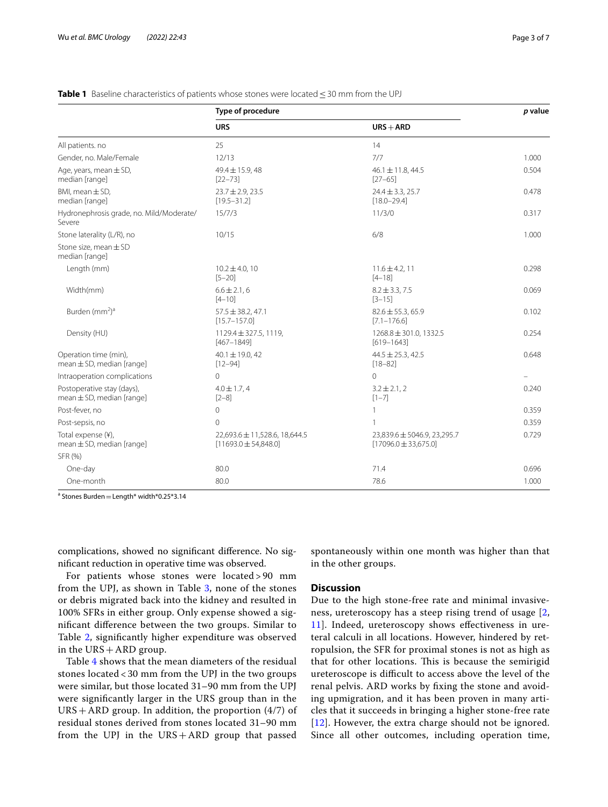|                                                              | Type of procedure                                         |                                                         | p value |
|--------------------------------------------------------------|-----------------------------------------------------------|---------------------------------------------------------|---------|
|                                                              | <b>URS</b>                                                | $URS + ARD$                                             |         |
| All patients. no                                             | 25                                                        | 14                                                      |         |
| Gender, no. Male/Female                                      | 12/13                                                     | 7/7                                                     | 1.000   |
| Age, years, mean $\pm$ SD,<br>median [range]                 | $49.4 \pm 15.9$ , 48<br>$[22 - 73]$                       | $46.1 \pm 11.8$ , 44.5<br>$[27 - 65]$                   | 0.504   |
| BMI, mean $\pm$ SD,<br>median [range]                        | $23.7 \pm 2.9$ , 23.5<br>$[19.5 - 31.2]$                  | $24.4 \pm 3.3, 25.7$<br>$[18.0 - 29.4]$                 | 0.478   |
| Hydronephrosis grade, no. Mild/Moderate/<br>Severe           | 15/7/3                                                    | 11/3/0                                                  | 0.317   |
| Stone laterality (L/R), no                                   | 10/15                                                     | 6/8                                                     | 1.000   |
| Stone size, mean $\pm$ SD<br>median [range]                  |                                                           |                                                         |         |
| Length (mm)                                                  | $10.2 \pm 4.0, 10$<br>$[5 - 20]$                          | $11.6 \pm 4.2, 11$<br>$[4 - 18]$                        | 0.298   |
| Width(mm)                                                    | $6.6 \pm 2.1, 6$<br>$[4 - 10]$                            | $8.2 \pm 3.3, 7.5$<br>$[3 - 15]$                        | 0.069   |
| Burden (mm <sup>2</sup> ) <sup>a</sup>                       | $57.5 \pm 38.2, 47.1$<br>$[15.7 - 157.0]$                 | $82.6 \pm 55.3, 65.9$<br>$[7.1 - 176.6]$                | 0.102   |
| Density (HU)                                                 | 1129.4 ± 327.5, 1119,<br>$[467 - 1849]$                   | 1268.8 ± 301.0, 1332.5<br>$[619 - 1643]$                | 0.254   |
| Operation time (min),<br>mean $\pm$ SD, median [range]       | $40.1 \pm 19.0, 42$<br>$[12 - 94]$                        | $44.5 \pm 25.3, 42.5$<br>$[18 - 82]$                    | 0.648   |
| Intraoperation complications                                 | $\Omega$                                                  | $\Omega$                                                |         |
| Postoperative stay (days),<br>$mean \pm SD$ , median [range] | $4.0 \pm 1.7, 4$<br>$[2-8]$                               | $3.2 \pm 2.1, 2$<br>$[1 - 7]$                           | 0.240   |
| Post-fever, no                                               | 0                                                         | 1                                                       | 0.359   |
| Post-sepsis, no                                              | $\Omega$                                                  | 1                                                       | 0.359   |
| Total expense (¥),<br>mean $\pm$ SD, median [range]          | 22,693.6 ± 11,528.6, 18,644.5<br>$[11693.0 \pm 54,848.0]$ | 23,839.6 ± 5046.9, 23,295.7<br>$[17096.0 \pm 33,675.0]$ | 0.729   |
| SFR (%)                                                      |                                                           |                                                         |         |
| One-day                                                      | 80.0                                                      | 71.4                                                    | 0.696   |
| One-month                                                    | 80.0                                                      | 78.6                                                    | 1.000   |

#### <span id="page-2-0"></span>**Table 1** Baseline characteristics of patients whose stones were located ≤30 mm from the UPJ

 $a$  Stones Burden  $=$  Length $*$  width $*$ 0.25 $*$ 3.14

complications, showed no signifcant diference. No signifcant reduction in operative time was observed.

For patients whose stones were located > 90 mm from the UPJ, as shown in Table [3](#page-4-0), none of the stones or debris migrated back into the kidney and resulted in 100% SFRs in either group. Only expense showed a signifcant diference between the two groups. Similar to Table [2](#page-3-0), signifcantly higher expenditure was observed in the  $URS + ARD$  group.

Table [4](#page-4-1) shows that the mean diameters of the residual stones located < 30 mm from the UPJ in the two groups were similar, but those located 31–90 mm from the UPJ were signifcantly larger in the URS group than in the  $URS + ARD$  group. In addition, the proportion  $(4/7)$  of residual stones derived from stones located 31–90 mm from the UPJ in the  $URS+ARD$  group that passed spontaneously within one month was higher than that in the other groups.

## **Discussion**

Due to the high stone-free rate and minimal invasiveness, ureteroscopy has a steep rising trend of usage [\[2](#page-5-1), [11\]](#page-6-5). Indeed, ureteroscopy shows efectiveness in ureteral calculi in all locations. However, hindered by retropulsion, the SFR for proximal stones is not as high as that for other locations. This is because the semirigid ureteroscope is difficult to access above the level of the renal pelvis. ARD works by fxing the stone and avoiding upmigration, and it has been proven in many articles that it succeeds in bringing a higher stone-free rate [[12](#page-6-6)]. However, the extra charge should not be ignored. Since all other outcomes, including operation time,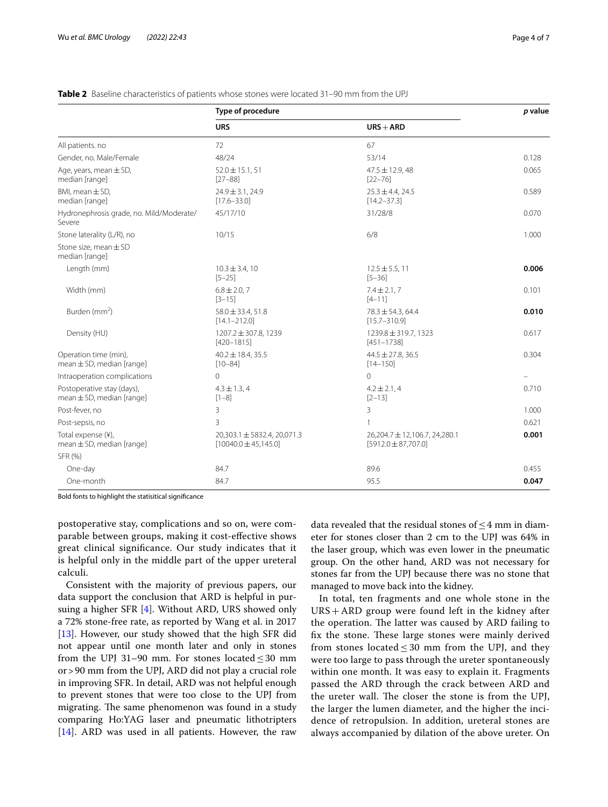|                                                             | Type of procedure                                        |                                                          | p value |
|-------------------------------------------------------------|----------------------------------------------------------|----------------------------------------------------------|---------|
|                                                             | <b>URS</b>                                               | $URS + ARD$                                              |         |
| All patients. no                                            | 72                                                       | 67                                                       |         |
| Gender, no. Male/Female                                     | 48/24                                                    | 53/14                                                    | 0.128   |
| Age, years, mean $\pm$ SD,<br>median [range]                | $52.0 \pm 15.1, 51$<br>$[27 - 88]$                       | $47.5 \pm 12.9$ , 48<br>$[22 - 76]$                      | 0.065   |
| BMI, mean $\pm$ SD,<br>median [range]                       | $24.9 \pm 3.1.24.9$<br>$[17.6 - 33.0]$                   | $25.3 \pm 4.4$ , 24.5<br>$[14.2 - 37.3]$                 | 0.589   |
| Hydronephrosis grade, no. Mild/Moderate/<br>Severe          | 45/17/10                                                 | 31/28/8                                                  | 0.070   |
| Stone laterality (L/R), no                                  | 10/15                                                    | 6/8                                                      | 1.000   |
| Stone size, mean ± SD<br>median [range]                     |                                                          |                                                          |         |
| Length (mm)                                                 | $10.3 \pm 3.4, 10$<br>$[5 - 25]$                         | $12.5 \pm 5.5, 11$<br>$[5 - 36]$                         | 0.006   |
| Width (mm)                                                  | $6.8 \pm 2.0, 7$<br>$[3 - 15]$                           | $7.4 \pm 2.1, 7$<br>$[4 - 11]$                           | 0.101   |
| Burden (mm <sup>2</sup> )                                   | $58.0 \pm 33.4, 51.8$<br>$[14.1 - 212.0]$                | $78.3 \pm 54.3, 64.4$<br>$[15.7 - 310.9]$                | 0.010   |
| Density (HU)                                                | 1207.2 ± 307.8, 1239<br>$[420 - 1815]$                   | 1239.8 ± 319.7, 1323<br>$[451 - 1738]$                   | 0.617   |
| Operation time (min),<br>$mean \pm SD$ , median [range]     | $40.2 \pm 18.4, 35.5$<br>$[10 - 84]$                     | $44.5 \pm 27.8$ , 36.5<br>$[14 - 150]$                   | 0.304   |
| Intraoperation complications                                | $\Omega$                                                 | $\Omega$                                                 |         |
| Postoperative stay (days),<br>$mean \pm SD, median [range]$ | $4.3 \pm 1.3, 4$<br>$[1-8]$                              | $4.2 \pm 2.1, 4$<br>$[2 - 13]$                           | 0.710   |
| Post-fever, no                                              | 3                                                        | 3                                                        | 1.000   |
| Post-sepsis, no                                             | 3                                                        |                                                          | 0.621   |
| Total expense (¥),<br>$mean \pm SD$ , median [range]        | 20,303.1 ± 5832.4, 20,071.3<br>$[10040.0 \pm 45, 145.0]$ | 26,204.7 ± 12,106.7, 24,280.1<br>$[5912.0 \pm 87,707.0]$ | 0.001   |
| SFR (%)                                                     |                                                          |                                                          |         |
| One-day                                                     | 84.7                                                     | 89.6                                                     | 0.455   |
| One-month                                                   | 84.7                                                     | 95.5                                                     | 0.047   |

### <span id="page-3-0"></span>**Table 2** Baseline characteristics of patients whose stones were located 31–90 mm from the UPJ

Bold fonts to highlight the statisitical signifcance

postoperative stay, complications and so on, were comparable between groups, making it cost-efective shows great clinical signifcance. Our study indicates that it is helpful only in the middle part of the upper ureteral calculi.

Consistent with the majority of previous papers, our data support the conclusion that ARD is helpful in pursuing a higher SFR [\[4\]](#page-5-3). Without ARD, URS showed only a 72% stone-free rate, as reported by Wang et al. in 2017 [[13\]](#page-6-7). However, our study showed that the high SFR did not appear until one month later and only in stones from the UPJ 31–90 mm. For stones located≤30 mm or>90 mm from the UPJ, ARD did not play a crucial role in improving SFR. In detail, ARD was not helpful enough to prevent stones that were too close to the UPJ from migrating. The same phenomenon was found in a study comparing Ho:YAG laser and pneumatic lithotripters [[14\]](#page-6-8). ARD was used in all patients. However, the raw data revealed that the residual stones of≤4 mm in diameter for stones closer than 2 cm to the UPJ was 64% in the laser group, which was even lower in the pneumatic group. On the other hand, ARD was not necessary for stones far from the UPJ because there was no stone that managed to move back into the kidney.

In total, ten fragments and one whole stone in the URS+ARD group were found left in the kidney after the operation. The latter was caused by ARD failing to fix the stone. These large stones were mainly derived from stones located  $\leq 30$  mm from the UPJ, and they were too large to pass through the ureter spontaneously within one month. It was easy to explain it. Fragments passed the ARD through the crack between ARD and the ureter wall. The closer the stone is from the UPJ, the larger the lumen diameter, and the higher the incidence of retropulsion. In addition, ureteral stones are always accompanied by dilation of the above ureter. On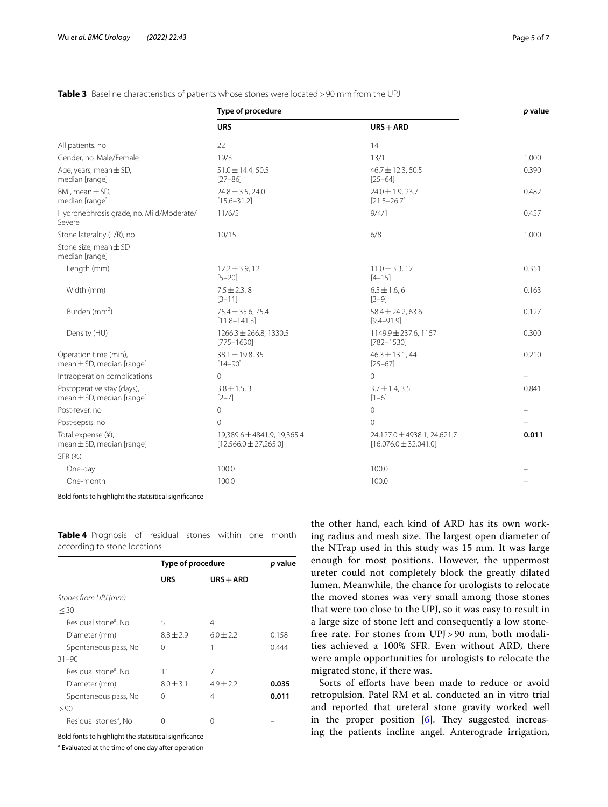|                                                             | Type of procedure                                        |                                                          | p value |
|-------------------------------------------------------------|----------------------------------------------------------|----------------------------------------------------------|---------|
|                                                             | <b>URS</b>                                               | $URS + ARD$                                              |         |
| All patients. no                                            | 22                                                       | 14                                                       |         |
| Gender, no. Male/Female                                     | 19/3                                                     | 13/1                                                     | 1.000   |
| Age, years, mean $\pm$ SD,<br>median [range]                | $51.0 \pm 14.4, 50.5$<br>$[27 - 86]$                     | $46.7 \pm 12.3, 50.5$<br>$[25 - 64]$                     | 0.390   |
| BMI, mean $\pm$ SD,<br>median [range]                       | $24.8 \pm 3.5$ , 24.0<br>$[15.6 - 31.2]$                 | $24.0 \pm 1.9$ , 23.7<br>$[21.5 - 26.7]$                 | 0.482   |
| Hydronephrosis grade, no. Mild/Moderate/<br>Severe          | 11/6/5                                                   | 9/4/1                                                    | 0.457   |
| Stone laterality (L/R), no                                  | 10/15                                                    | 6/8                                                      | 1.000   |
| Stone size, mean ± SD<br>median [range]                     |                                                          |                                                          |         |
| Length (mm)                                                 | $12.2 \pm 3.9, 12$<br>$[5 - 20]$                         | $11.0 \pm 3.3, 12$<br>$[4 - 15]$                         | 0.351   |
| Width (mm)                                                  | $7.5 \pm 2.3, 8$<br>$[3 - 11]$                           | $6.5 \pm 1.6, 6$<br>$[3-9]$                              | 0.163   |
| Burden (mm <sup>2</sup> )                                   | $75.4 \pm 35.6$ , 75.4<br>$[11.8 - 141.3]$               | $58.4 \pm 24.2, 63.6$<br>$[9.4 - 91.9]$                  | 0.127   |
| Density (HU)                                                | $1266.3 \pm 266.8$ , 1330.5<br>$[775 - 1630]$            | 1149.9 ± 237.6, 1157<br>$[782 - 1530]$                   | 0.300   |
| Operation time (min),<br>$mean \pm SD$ , median [range]     | $38.1 \pm 19.8$ , 35<br>$[14 - 90]$                      | $46.3 \pm 13.1, 44$<br>$[25 - 67]$                       | 0.210   |
| Intraoperation complications                                | $\Omega$                                                 | $\Omega$                                                 |         |
| Postoperative stay (days),<br>$mean \pm SD, median [range]$ | $3.8 \pm 1.5, 3$<br>$[2 - 7]$                            | $3.7 \pm 1.4$ , 3.5<br>$[1-6]$                           | 0.841   |
| Post-fever, no                                              | $\mathbf 0$                                              | $\overline{0}$                                           |         |
| Post-sepsis, no                                             | $\mathbf 0$                                              | $\mathbf{0}$                                             |         |
| Total expense (¥),<br>mean $\pm$ SD, median [range]         | 19,389.6 ± 4841.9, 19,365.4<br>$[12,566.0 \pm 27,265.0]$ | 24,127.0 ± 4938.1, 24,621.7<br>$[16,076.0 \pm 32,041.0]$ | 0.011   |
| SFR (%)                                                     |                                                          |                                                          |         |
| One-day                                                     | 100.0                                                    | 100.0                                                    |         |
| One-month                                                   | 100.0                                                    | 100.0                                                    |         |

## <span id="page-4-0"></span>**Table 3** Baseline characteristics of patients whose stones were located >90 mm from the UPJ

Bold fonts to highlight the statisitical signifcance

|                                   | Type of procedure |               | p value |
|-----------------------------------|-------------------|---------------|---------|
|                                   | <b>URS</b>        | $URS + ARD$   |         |
| Stones from UPJ (mm)              |                   |               |         |
| $<$ 30                            |                   |               |         |
| Residual stone <sup>a</sup> , No  | 5                 | 4             |         |
| Diameter (mm)                     | $8.8 + 2.9$       | $6.0 + 2.2$   | 0.158   |
| Spontaneous pass, No              | $\left( \right)$  |               | 0.444   |
| $31 - 90$                         |                   |               |         |
| Residual stone <sup>a</sup> , No  | 11                | 7             |         |
| Diameter (mm)                     | $8.0 \pm 3.1$     | $4.9 \pm 2.2$ | 0.035   |
| Spontaneous pass, No              | 0                 | 4             | 0.011   |
| >90                               |                   |               |         |
| Residual stones <sup>a</sup> , No | 0                 | 0             |         |

<span id="page-4-1"></span>**Table 4** Prognosis of residual stones within one month according to stone locations

Bold fonts to highlight the statisitical signifcance

<sup>a</sup> Evaluated at the time of one day after operation

the other hand, each kind of ARD has its own working radius and mesh size. The largest open diameter of the NTrap used in this study was 15 mm. It was large enough for most positions. However, the uppermost ureter could not completely block the greatly dilated lumen. Meanwhile, the chance for urologists to relocate the moved stones was very small among those stones that were too close to the UPJ, so it was easy to result in a large size of stone left and consequently a low stonefree rate. For stones from UPJ > 90 mm, both modalities achieved a 100% SFR. Even without ARD, there were ample opportunities for urologists to relocate the migrated stone, if there was.

Sorts of efforts have been made to reduce or avoid retropulsion. Patel RM et al. conducted an in vitro trial and reported that ureteral stone gravity worked well in the proper position  $[6]$ . They suggested increasing the patients incline angel. Anterograde irrigation,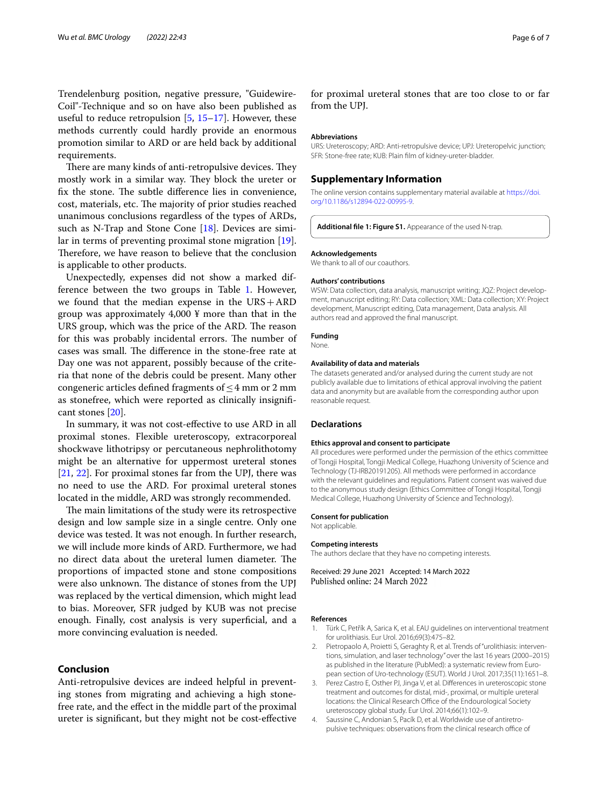Trendelenburg position, negative pressure, "Guidewire-Coil"-Technique and so on have also been published as useful to reduce retropulsion  $[5, 15-17]$  $[5, 15-17]$  $[5, 15-17]$  $[5, 15-17]$ . However, these methods currently could hardly provide an enormous promotion similar to ARD or are held back by additional requirements.

There are many kinds of anti-retropulsive devices. They mostly work in a similar way. They block the ureter or fix the stone. The subtle difference lies in convenience, cost, materials, etc. The majority of prior studies reached unanimous conclusions regardless of the types of ARDs, such as N-Trap and Stone Cone  $[18]$ . Devices are similar in terms of preventing proximal stone migration [\[19](#page-6-13)]. Therefore, we have reason to believe that the conclusion is applicable to other products.

Unexpectedly, expenses did not show a marked difference between the two groups in Table [1](#page-2-0). However, we found that the median expense in the URS+ARD group was approximately 4,000 ¥ more than that in the URS group, which was the price of the ARD. The reason for this was probably incidental errors. The number of cases was small. The difference in the stone-free rate at Day one was not apparent, possibly because of the criteria that none of the debris could be present. Many other congeneric articles defined fragments of  $\leq$  4 mm or 2 mm as stonefree, which were reported as clinically insignifcant stones [\[20\]](#page-6-14).

In summary, it was not cost-efective to use ARD in all proximal stones. Flexible ureteroscopy, extracorporeal shockwave lithotripsy or percutaneous nephrolithotomy might be an alternative for uppermost ureteral stones [[21,](#page-6-15) [22\]](#page-6-16). For proximal stones far from the UPJ, there was no need to use the ARD. For proximal ureteral stones located in the middle, ARD was strongly recommended.

The main limitations of the study were its retrospective design and low sample size in a single centre. Only one device was tested. It was not enough. In further research, we will include more kinds of ARD. Furthermore, we had no direct data about the ureteral lumen diameter. The proportions of impacted stone and stone compositions were also unknown. The distance of stones from the UPJ was replaced by the vertical dimension, which might lead to bias. Moreover, SFR judged by KUB was not precise enough. Finally, cost analysis is very superfcial, and a more convincing evaluation is needed.

## **Conclusion**

Anti-retropulsive devices are indeed helpful in preventing stones from migrating and achieving a high stonefree rate, and the efect in the middle part of the proximal ureter is signifcant, but they might not be cost-efective

for proximal ureteral stones that are too close to or far from the UPJ.

#### **Abbreviations**

URS: Ureteroscopy; ARD: Anti-retropulsive device; UPJ: Ureteropelvic junction; SFR: Stone-free rate; KUB: Plain flm of kidney-ureter-bladder.

#### **Supplementary Information**

The online version contains supplementary material available at [https://doi.](https://doi.org/10.1186/s12894-022-00995-9) [org/10.1186/s12894-022-00995-9](https://doi.org/10.1186/s12894-022-00995-9).

<span id="page-5-4"></span>**Additional fle 1: Figure S1.** Appearance of the used N-trap.

#### **Acknowledgements**

We thank to all of our coauthors

#### **Authors' contributions**

WSW: Data collection, data analysis, manuscript writing; JQZ: Project development, manuscript editing; RY: Data collection; XML: Data collection; XY: Project development, Manuscript editing, Data management, Data analysis. All authors read and approved the fnal manuscript.

#### **Funding**

None.

#### **Availability of data and materials**

The datasets generated and/or analysed during the current study are not publicly available due to limitations of ethical approval involving the patient data and anonymity but are available from the corresponding author upon reasonable request.

#### **Declarations**

#### **Ethics approval and consent to participate**

All procedures were performed under the permission of the ethics committee of Tongji Hospital, Tongji Medical College, Huazhong University of Science and Technology (TJ-IRB20191205). All methods were performed in accordance with the relevant guidelines and regulations. Patient consent was waived due to the anonymous study design (Ethics Committee of Tongji Hospital, Tongji Medical College, Huazhong University of Science and Technology).

#### **Consent for publication**

Not applicable.

#### **Competing interests**

The authors declare that they have no competing interests.

Received: 29 June 2021 Accepted: 14 March 2022 Published online: 24 March 2022

#### **References**

- <span id="page-5-0"></span>1. Türk C, Petřík A, Sarica K, et al. EAU guidelines on interventional treatment for urolithiasis. Eur Urol. 2016;69(3):475–82.
- <span id="page-5-1"></span>2. Pietropaolo A, Proietti S, Geraghty R, et al. Trends of "urolithiasis: interventions, simulation, and laser technology" over the last 16 years (2000–2015) as published in the literature (PubMed): a systematic review from European section of Uro-technology (ESUT). World J Urol. 2017;35(11):1651–8.
- <span id="page-5-2"></span>3. Perez Castro E, Osther PJ, Jinga V, et al. Diferences in ureteroscopic stone treatment and outcomes for distal, mid-, proximal, or multiple ureteral locations: the Clinical Research Office of the Endourological Society ureteroscopy global study. Eur Urol. 2014;66(1):102–9.
- <span id="page-5-3"></span>4. Saussine C, Andonian S, Pacík D, et al. Worldwide use of antiretropulsive techniques: observations from the clinical research office of